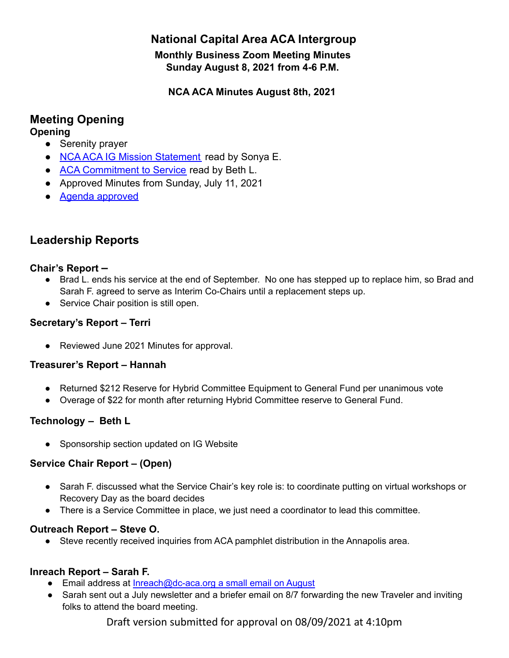# **National Capital Area ACA Intergroup**

**Monthly Business Zoom Meeting Minutes Sunday August 8, 2021 from 4-6 P.M.**

**NCA ACA Minutes August 8th, 2021**

# **Meeting Opening**

## **Opening**

- **●** Serenity prayer
- **●** NCA [ACA IG Mission Statement](https://docs.google.com/document/d/1B3v57e_bulSl4UCyKt48lksbFwA63CijyEB4lGpiIgM/edit?usp=sharing) read by Sonya E.
- **●** [ACA Commitment to Service](https://www.dc-aca.org/aca-commitment-to-service) read by Beth L.
- Approved Minutes from Sunday, July 11, 2021
- [Agenda approved](https://docs.google.com/document/d/12yDSp95GYQgyHQs11LEkmbmT_7i3ZSqwkIpcX1jn1b8/edit?usp=sharing)

# **Leadership Reports**

### **Chair's Report –**

- **●** Brad L. ends his service at the end of September. No one has stepped up to replace him, so Brad and Sarah F. agreed to serve as Interim Co-Chairs until a replacement steps up.
- **●** Service Chair position is still open.

## **Secretary's Report – Terri**

● Reviewed June 2021 [Minutes](https://d.docs.live.net/1a5aa982dcfa11e6/Documents/ACA/ACA%20Minutes%20June%202021.docx) for approval.

### **Treasurer's Report – Hannah**

- Returned \$212 Reserve for Hybrid Committee Equipment to General Fund per unanimous vote
- Overage of \$22 for month after returning Hybrid Committee reserve to General Fund.

## **Technology – Beth L**

● Sponsorship section updated on IG Website

### **Service Chair Report – (Open)**

- **●** Sarah F. discussed what the Service Chair's key role is: to coordinate putting on virtual workshops or Recovery Day as the board decides
- **●** There is a Service Committee in place, we just need a coordinator to lead this committee.

### **Outreach Report – Steve O.**

● Steve recently received inquiries from ACA pamphlet distribution in the Annapolis area.

## **Inreach Report – Sarah F.**

- Email address at [Inreach@dc-aca.org](mailto:Inreach@dc-aca.org) a small email on August
- Sarah sent out a July newsletter and a briefer email on 8/7 forwarding the new Traveler and inviting folks to attend the board meeting.

Draft version submitted for approval on 08/09/2021 at 4:10pm